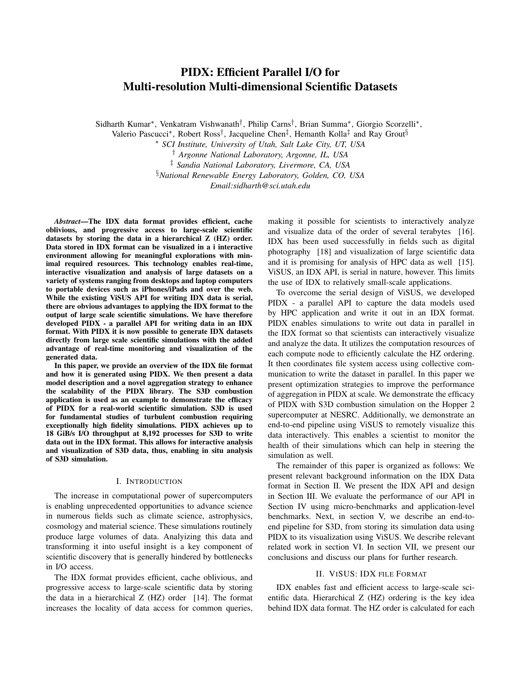# PIDX: Efficient Parallel I/O for Multi-resolution Multi-dimensional Scientific Datasets

Sidharth Kumar<sup>∗</sup>, Venkatram Vishwanath<sup>†</sup>, Philip Carns<sup>†</sup>, Brian Summa<sup>∗</sup>, Giorgio Scorzelli<sup>∗</sup>,

Valerio Pascucci\*, Robert Ross<sup>†</sup>, Jacqueline Chen<sup>‡</sup>, Hemanth Kolla<sup>‡</sup> and Ray Grout<sup>§</sup>

<sup>∗</sup> *SCI Institute, University of Utah, Salt Lake City, UT, USA*

† *Argonne National Laboratory, Argonne, IL, USA*

‡ *Sandia National Laboratory, Livermore, CA, USA*

§*National Renewable Energy Laboratory, Golden, CO, USA*

*Email:sidharth@sci.utah.edu*

*Abstract*—The IDX data format provides efficient, cache oblivious, and progressive access to large-scale scientific datasets by storing the data in a hierarchical Z (HZ) order. Data stored in IDX format can be visualized in a i interactive environment allowing for meaningful explorations with minimal required resources. This technology enables real-time, interactive visualization and analysis of large datasets on a variety of systems ranging from desktops and laptop computers to portable devices such as iPhones/iPads and over the web. While the existing ViSUS API for writing IDX data is serial, there are obvious advantages to applying the IDX format to the output of large scale scientific simulations. We have therefore developed PIDX - a parallel API for writing data in an IDX format. With PIDX it is now possible to generate IDX datasets directly from large scale scientific simulations with the added advantage of real-time monitoring and visualization of the generated data.

In this paper, we provide an overview of the IDX file format and how it is generated using PIDX. We then present a data model description and a novel aggregation strategy to enhance the scalability of the PIDX library. The S3D combustion application is used as an example to demonstrate the efficacy of PIDX for a real-world scientific simulation. S3D is used for fundamental studies of turbulent combustion requiring exceptionally high fidelity simulations. PIDX achieves up to 18 GiB/s I/O throughput at 8,192 processes for S3D to write data out in the IDX format. This allows for interactive analysis and visualization of S3D data, thus, enabling in situ analysis of S3D simulation.

## I. INTRODUCTION

The increase in computational power of supercomputers is enabling unprecedented opportunities to advance science in numerous fields such as climate science, astrophysics, cosmology and material science. These simulations routinely produce large volumes of data. Analyizing this data and transforming it into useful insight is a key component of scientific discovery that is generally hindered by bottlenecks in I/O access.

The IDX format provides efficient, cache oblivious, and progressive access to large-scale scientific data by storing the data in a hierarchical  $Z$  (HZ) order [14]. The format increases the locality of data access for common queries, making it possible for scientists to interactively analyze and visualize data of the order of several terabytes [16]. IDX has been used successfully in fields such as digital photography [18] and visualization of large scientific data and it is promising for analysis of HPC data as well [15]. ViSUS, an IDX API, is serial in nature, however. This limits the use of IDX to relatively small-scale applications.

To overcome the serial design of ViSUS, we developed PIDX - a parallel API to capture the data models used by HPC application and write it out in an IDX format. PIDX enables simulations to write out data in parallel in the IDX format so that scientists can interactively visualize and analyze the data. It utilizes the computation resources of each compute node to efficiently calculate the HZ ordering. It then coordinates file system access using collective communication to write the dataset in parallel. In this paper we present optimization strategies to improve the performance of aggregation in PIDX at scale. We demonstrate the efficacy of PIDX with S3D combustion simulation on the Hopper 2 supercomputer at NESRC. Additionally, we demonstrate an end-to-end pipeline using ViSUS to remotely visualize this data interactively. This enables a scientist to monitor the health of their simulations which can help in steering the simulation as well.

The remainder of this paper is organized as follows: We present relevant background information on the IDX Data format in Section II. We present the IDX API and design in Section III. We evaluate the performance of our API in Section IV using micro-benchmarks and application-level benchmarks. Next, in section V, we describe an end-toend pipeline for S3D, from storing its simulation data using PIDX to its visualization using ViSUS. We describe relevant related work in section VI. In section VII, we present our conclusions and discuss our plans for further research.

## II. VISUS: IDX FILE FORMAT

IDX enables fast and efficient access to large-scale scientific data. Hierarchical Z (HZ) ordering is the key idea behind IDX data format. The HZ order is calculated for each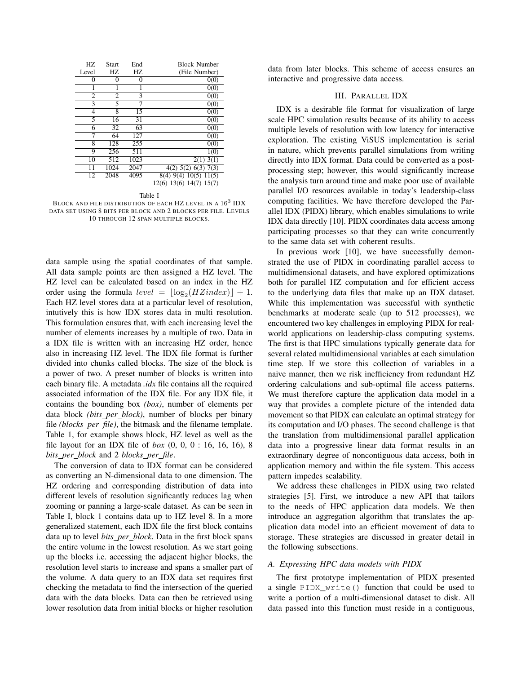| HZ    | Start | End  | <b>Block Number</b>     |
|-------|-------|------|-------------------------|
| Level | HZ    | HZ   | (File Number)           |
| 0     | 0     | 0    | 0(0)                    |
| 1     | 1     | 1    | 0(0)                    |
| 2     | 2     | 3    | 0(0)                    |
| 3     | 5     | 7    | 0(0)                    |
| 4     | 8     | 15   | 0(0)                    |
| 5     | 16    | 31   | 0(0)                    |
| 6     | 32    | 63   | 0(0)                    |
|       | 64    | 127  | 0(0)                    |
| 8     | 128   | 255  | 0(0)                    |
| 9     | 256   | 511  | 1(0)                    |
| 10    | 512   | 1023 | $2(1)$ 3(1)             |
| 11    | 1024  | 2047 | $4(2)$ 5(2) 6(3) 7(3)   |
| 12    | 2048  | 4095 | $8(4)$ 9(4) 10(5) 11(5) |
|       |       |      | 12(6) 13(6) 14(7) 15(7) |

Table I

BLOCK AND FILE DISTRIBUTION OF EACH HZ LEVEL IN A  $16^3$  IDX  $\,$ DATA SET USING 8 BITS PER BLOCK AND 2 BLOCKS PER FILE. LEVELS 10 THROUGH 12 SPAN MULTIPLE BLOCKS.

data sample using the spatial coordinates of that sample. All data sample points are then assigned a HZ level. The HZ level can be calculated based on an index in the HZ order using the formula  $level = \lfloor log_2(HZindex)\rfloor + 1$ . Each HZ level stores data at a particular level of resolution, intutively this is how IDX stores data in multi resolution. This formulation ensures that, with each increasing level the number of elements increases by a multiple of two. Data in a IDX file is written with an increasing HZ order, hence also in increasing HZ level. The IDX file format is further divided into chunks called blocks. The size of the block is a power of two. A preset number of blocks is written into each binary file. A metadata *.idx* file contains all the required associated information of the IDX file. For any IDX file, it contains the bounding box *(box)*, number of elements per data block *(bits per block)*, number of blocks per binary file *(blocks per file)*, the bitmask and the filename template. Table 1, for example shows block, HZ level as well as the file layout for an IDX file of *box* (0, 0, 0 : 16, 16, 16), 8 *bits per block* and 2 *blocks per file*.

The conversion of data to IDX format can be considered as converting an N-dimensional data to one dimension. The HZ ordering and corresponding distribution of data into different levels of resolution significantly reduces lag when zooming or panning a large-scale dataset. As can be seen in Table I, block 1 contains data up to HZ level 8. In a more generalized statement, each IDX file the first block contains data up to level *bits per block*. Data in the first block spans the entire volume in the lowest resolution. As we start going up the blocks i.e. accessing the adjacent higher blocks, the resolution level starts to increase and spans a smaller part of the volume. A data query to an IDX data set requires first checking the metadata to find the intersection of the queried data with the data blocks. Data can then be retrieved using lower resolution data from initial blocks or higher resolution data from later blocks. This scheme of access ensures an interactive and progressive data access.

#### III. PARALLEL IDX

IDX is a desirable file format for visualization of large scale HPC simulation results because of its ability to access multiple levels of resolution with low latency for interactive exploration. The existing ViSUS implementation is serial in nature, which prevents parallel simulations from writing directly into IDX format. Data could be converted as a postprocessing step; however, this would significantly increase the analysis turn around time and make poor use of available parallel I/O resources available in today's leadership-class computing facilities. We have therefore developed the Parallel IDX (PIDX) library, which enables simulations to write IDX data directly [10]. PIDX coordinates data access among participating processes so that they can write concurrently to the same data set with coherent results.

In previous work [10], we have successfully demonstrated the use of PIDX in coordinating parallel access to multidimensional datasets, and have explored optimizations both for parallel HZ computation and for efficient access to the underlying data files that make up an IDX dataset. While this implementation was successful with synthetic benchmarks at moderate scale (up to 512 processes), we encountered two key challenges in employing PIDX for realworld applications on leadership-class computing systems. The first is that HPC simulations typically generate data for several related multidimensional variables at each simulation time step. If we store this collection of variables in a naive manner, then we risk inefficiency from redundant HZ ordering calculations and sub-optimal file access patterns. We must therefore capture the application data model in a way that provides a complete picture of the intended data movement so that PIDX can calculate an optimal strategy for its computation and I/O phases. The second challenge is that the translation from multidimensional parallel application data into a progressive linear data format results in an extraordinary degree of noncontiguous data access, both in application memory and within the file system. This access pattern impedes scalability.

We address these challenges in PIDX using two related strategies [5]. First, we introduce a new API that tailors to the needs of HPC application data models. We then introduce an aggregation algorithm that translates the application data model into an efficient movement of data to storage. These strategies are discussed in greater detail in the following subsections.

## *A. Expressing HPC data models with PIDX*

The first prototype implementation of PIDX presented a single PIDX\_write() function that could be used to write a portion of a multi-dimensional dataset to disk. All data passed into this function must reside in a contiguous,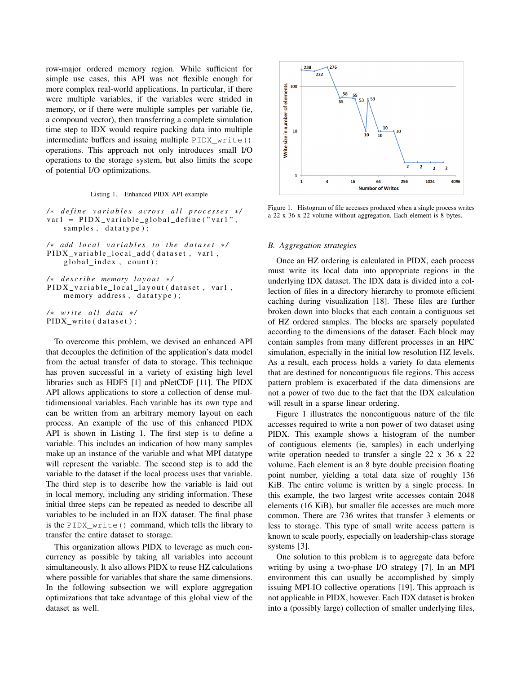row-major ordered memory region. While sufficient for simple use cases, this API was not flexible enough for more complex real-world applications. In particular, if there were multiple variables, if the variables were strided in memory, or if there were multiple samples per variable (ie, a compound vector), then transferring a complete simulation time step to IDX would require packing data into multiple intermediate buffers and issuing multiple PIDX\_write() operations. This approach not only introduces small I/O operations to the storage system, but also limits the scope of potential I/O optimizations.

Listing 1. Enhanced PIDX API example

```
/ ∗ d e f i n e v a r i a b l e s a c r o s s a l l p r o c e s s e s ∗ /
var1 = PIDX_variable_global_define("var1")samples, datatype);
```

```
/ ∗ add local variables to the dataset */
PIDX_variable_local_add(dataset, var1,
   global_index, count);
```

```
/ ∗ d e s c r i b e memory l a y o u t ∗ /
PIDX variable local layout (dataset, var1,
    memory_address, datatype);
```
*/* ∗ *w r i t e a l l d at a* ∗ */* PIDX\_write (dataset);

To overcome this problem, we devised an enhanced API that decouples the definition of the application's data model from the actual transfer of data to storage. This technique has proven successful in a variety of existing high level libraries such as HDF5 [1] and pNetCDF [11]. The PIDX API allows applications to store a collection of dense multidimensional variables. Each variable has its own type and can be written from an arbitrary memory layout on each process. An example of the use of this enhanced PIDX API is shown in Listing 1. The first step is to define a variable. This includes an indication of how many samples make up an instance of the variable and what MPI datatype will represent the variable. The second step is to add the variable to the dataset if the local process uses that variable. The third step is to describe how the variable is laid out in local memory, including any striding information. These initial three steps can be repeated as needed to describe all variables to be included in an IDX dataset. The final phase is the PIDX\_write() command, which tells the library to transfer the entire dataset to storage.

This organization allows PIDX to leverage as much concurrency as possible by taking all variables into account simultaneously. It also allows PIDX to reuse HZ calculations where possible for variables that share the same dimensions. In the following subsection we will explore aggregation optimizations that take advantage of this global view of the dataset as well.



Figure 1. Histogram of file accesses produced when a single process writes a 22 x 36 x 22 volume without aggregation. Each element is 8 bytes.

## *B. Aggregation strategies*

Once an HZ ordering is calculated in PIDX, each process must write its local data into appropriate regions in the underlying IDX dataset. The IDX data is divided into a collection of files in a directory hierarchy to promote efficient caching during visualization [18]. These files are further broken down into blocks that each contain a contiguous set of HZ ordered samples. The blocks are sparsely populated according to the dimensions of the dataset. Each block may contain samples from many different processes in an HPC simulation, especially in the initial low resolution HZ levels. As a result, each process holds a variety fo data elements that are destined for noncontiguous file regions. This access pattern problem is exacerbated if the data dimensions are not a power of two due to the fact that the IDX calculation will result in a sparse linear ordering.

Figure 1 illustrates the noncontiguous nature of the file accesses required to write a non power of two dataset using PIDX. This example shows a histogram of the number of contiguous elements (ie, samples) in each underlying write operation needed to transfer a single 22 x 36 x 22 volume. Each element is an 8 byte double precision floating point number, yielding a total data size of roughly 136 KiB. The entire volume is written by a single process. In this example, the two largest write accesses contain 2048 elements (16 KiB), but smaller file accesses are much more common. There are 736 writes that transfer 3 elements or less to storage. This type of small write access pattern is known to scale poorly, especially on leadership-class storage systems [3].

One solution to this problem is to aggregate data before writing by using a two-phase I/O strategy [7]. In an MPI environment this can usually be accomplished by simply issuing MPI-IO collective operations [19]. This approach is not applicable in PIDX, however. Each IDX dataset is broken into a (possibly large) collection of smaller underlying files,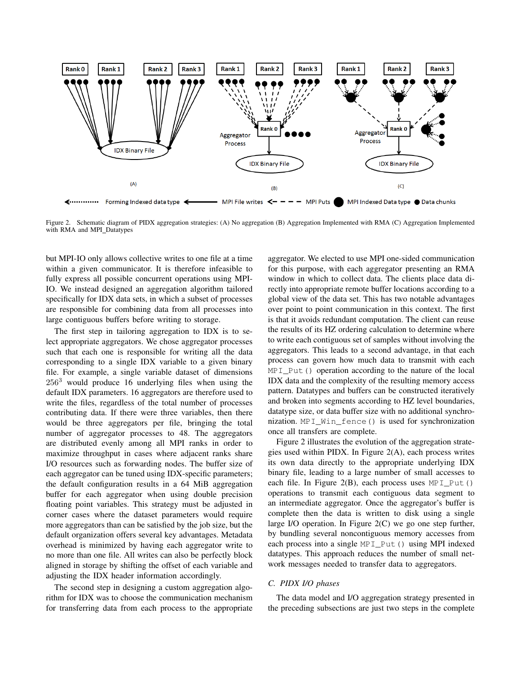

Figure 2. Schematic diagram of PIDX aggregation strategies: (A) No aggregation (B) Aggregation Implemented with RMA (C) Aggregation Implemented with RMA and MPI\_Datatypes

but MPI-IO only allows collective writes to one file at a time within a given communicator. It is therefore infeasible to fully express all possible concurrent operations using MPI-IO. We instead designed an aggregation algorithm tailored specifically for IDX data sets, in which a subset of processes are responsible for combining data from all processes into large contiguous buffers before writing to storage.

The first step in tailoring aggregation to IDX is to select appropriate aggregators. We chose aggregator processes such that each one is responsible for writing all the data corresponding to a single IDX variable to a given binary file. For example, a single variable dataset of dimensions  $256<sup>3</sup>$  would produce 16 underlying files when using the default IDX parameters. 16 aggregators are therefore used to write the files, regardless of the total number of processes contributing data. If there were three variables, then there would be three aggregators per file, bringing the total number of aggregator processes to 48. The aggregators are distributed evenly among all MPI ranks in order to maximize throughput in cases where adjacent ranks share I/O resources such as forwarding nodes. The buffer size of each aggregator can be tuned using IDX-specific parameters; the default configuration results in a 64 MiB aggregation buffer for each aggregator when using double precision floating point variables. This strategy must be adjusted in corner cases where the dataset parameters would require more aggregators than can be satisfied by the job size, but the default organization offers several key advantages. Metadata overhead is minimized by having each aggregator write to no more than one file. All writes can also be perfectly block aligned in storage by shifting the offset of each variable and adjusting the IDX header information accordingly.

The second step in designing a custom aggregation algorithm for IDX was to choose the communication mechanism for transferring data from each process to the appropriate aggregator. We elected to use MPI one-sided communication for this purpose, with each aggregator presenting an RMA window in which to collect data. The clients place data directly into appropriate remote buffer locations according to a global view of the data set. This has two notable advantages over point to point communication in this context. The first is that it avoids redundant computation. The client can reuse the results of its HZ ordering calculation to determine where to write each contiguous set of samples without involving the aggregators. This leads to a second advantage, in that each process can govern how much data to transmit with each MPI\_Put() operation according to the nature of the local IDX data and the complexity of the resulting memory access pattern. Datatypes and buffers can be constructed iteratively and broken into segments according to HZ level boundaries, datatype size, or data buffer size with no additional synchronization. MPI\_Win\_fence() is used for synchronization once all transfers are complete.

Figure 2 illustrates the evolution of the aggregation strategies used within PIDX. In Figure 2(A), each process writes its own data directly to the appropriate underlying IDX binary file, leading to a large number of small accesses to each file. In Figure 2(B), each process uses  $MPI_Put()$ operations to transmit each contiguous data segment to an intermediate aggregator. Once the aggregator's buffer is complete then the data is written to disk using a single large I/O operation. In Figure 2(C) we go one step further, by bundling several noncontiguous memory accesses from each process into a single MPI\_Put() using MPI indexed datatypes. This approach reduces the number of small network messages needed to transfer data to aggregators.

## *C. PIDX I/O phases*

The data model and I/O aggregation strategy presented in the preceding subsections are just two steps in the complete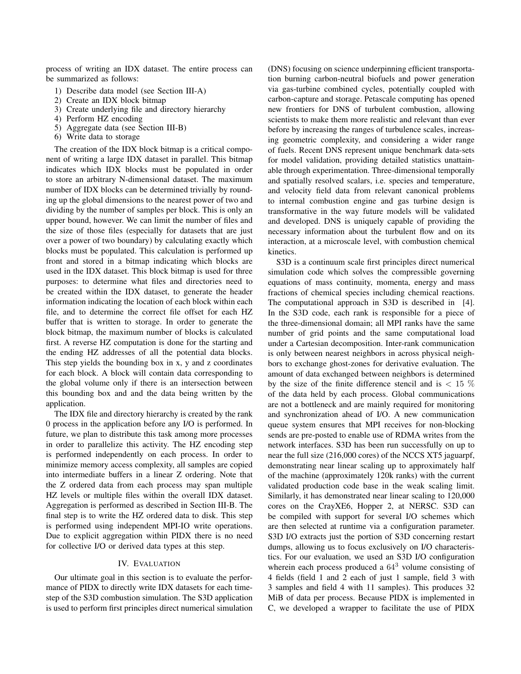process of writing an IDX dataset. The entire process can be summarized as follows:

- 1) Describe data model (see Section III-A)
- 2) Create an IDX block bitmap
- 3) Create underlying file and directory hierarchy
- 4) Perform HZ encoding
- 5) Aggregate data (see Section III-B)
- 6) Write data to storage

The creation of the IDX block bitmap is a critical component of writing a large IDX dataset in parallel. This bitmap indicates which IDX blocks must be populated in order to store an arbitrary N-dimensional dataset. The maximum number of IDX blocks can be determined trivially by rounding up the global dimensions to the nearest power of two and dividing by the number of samples per block. This is only an upper bound, however. We can limit the number of files and the size of those files (especially for datasets that are just over a power of two boundary) by calculating exactly which blocks must be populated. This calculation is performed up front and stored in a bitmap indicating which blocks are used in the IDX dataset. This block bitmap is used for three purposes: to determine what files and directories need to be created within the IDX dataset, to generate the header information indicating the location of each block within each file, and to determine the correct file offset for each HZ buffer that is written to storage. In order to generate the block bitmap, the maximum number of blocks is calculated first. A reverse HZ computation is done for the starting and the ending HZ addresses of all the potential data blocks. This step yields the bounding box in x, y and z coordinates for each block. A block will contain data corresponding to the global volume only if there is an intersection between this bounding box and and the data being written by the application.

The IDX file and directory hierarchy is created by the rank 0 process in the application before any I/O is performed. In future, we plan to distribute this task among more processes in order to parallelize this activity. The HZ encoding step is performed independently on each process. In order to minimize memory access complexity, all samples are copied into intermediate buffers in a linear Z ordering. Note that the Z ordered data from each process may span multiple HZ levels or multiple files within the overall IDX dataset. Aggregation is performed as described in Section III-B. The final step is to write the HZ ordered data to disk. This step is performed using independent MPI-IO write operations. Due to explicit aggregation within PIDX there is no need for collective I/O or derived data types at this step.

## IV. EVALUATION

Our ultimate goal in this section is to evaluate the performance of PIDX to directly write IDX datasets for each timestep of the S3D combustion simulation. The S3D application is used to perform first principles direct numerical simulation (DNS) focusing on science underpinning efficient transportation burning carbon-neutral biofuels and power generation via gas-turbine combined cycles, potentially coupled with carbon-capture and storage. Petascale computing has opened new frontiers for DNS of turbulent combustion, allowing scientists to make them more realistic and relevant than ever before by increasing the ranges of turbulence scales, increasing geometric complexity, and considering a wider range of fuels. Recent DNS represent unique benchmark data-sets for model validation, providing detailed statistics unattainable through experimentation. Three-dimensional temporally and spatially resolved scalars, i.e. species and temperature, and velocity field data from relevant canonical problems to internal combustion engine and gas turbine design is transformative in the way future models will be validated and developed. DNS is uniquely capable of providing the necessary information about the turbulent flow and on its interaction, at a microscale level, with combustion chemical kinetics.

S3D is a continuum scale first principles direct numerical simulation code which solves the compressible governing equations of mass continuity, momenta, energy and mass fractions of chemical species including chemical reactions. The computational approach in S3D is described in [4]. In the S3D code, each rank is responsible for a piece of the three-dimensional domain; all MPI ranks have the same number of grid points and the same computational load under a Cartesian decomposition. Inter-rank communication is only between nearest neighbors in across physical neighbors to exchange ghost-zones for derivative evaluation. The amount of data exchanged between neighbors is determined by the size of the finite difference stencil and is  $< 15\%$ of the data held by each process. Global communications are not a bottleneck and are mainly required for monitoring and synchronization ahead of I/O. A new communication queue system ensures that MPI receives for non-blocking sends are pre-posted to enable use of RDMA writes from the network interfaces. S3D has been run successfully on up to near the full size (216,000 cores) of the NCCS XT5 jaguarpf, demonstrating near linear scaling up to approximately half of the machine (approximately 120k ranks) with the current validated production code base in the weak scaling limit. Similarly, it has demonstrated near linear scaling to 120,000 cores on the CrayXE6, Hopper 2, at NERSC. S3D can be compiled with support for several I/O schemes which are then selected at runtime via a configuration parameter. S3D I/O extracts just the portion of S3D concerning restart dumps, allowing us to focus exclusively on I/O characteristics. For our evaluation, we used an S3D I/O configuration wherein each process produced a  $64<sup>3</sup>$  volume consisting of 4 fields (field 1 and 2 each of just 1 sample, field 3 with 3 samples and field 4 with 11 samples). This produces 32 MiB of data per process. Because PIDX is implemented in C, we developed a wrapper to facilitate the use of PIDX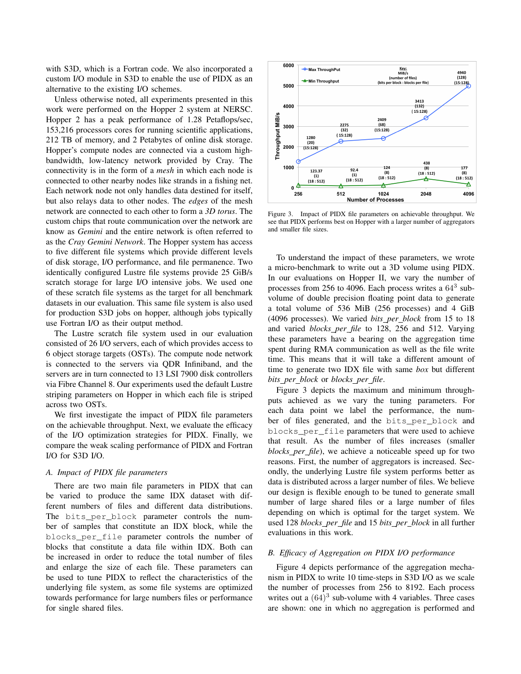with S3D, which is a Fortran code. We also incorporated a custom I/O module in S3D to enable the use of PIDX as an alternative to the existing I/O schemes.

Unless otherwise noted, all experiments presented in this work were performed on the Hopper 2 system at NERSC. Hopper 2 has a peak performance of 1.28 Petaflops/sec, 153,216 processors cores for running scientific applications, 212 TB of memory, and 2 Petabytes of online disk storage. Hopper's compute nodes are connected via a custom highbandwidth, low-latency network provided by Cray. The connectivity is in the form of a *mesh* in which each node is connected to other nearby nodes like strands in a fishing net. Each network node not only handles data destined for itself, but also relays data to other nodes. The *edges* of the mesh network are connected to each other to form a *3D torus*. The custom chips that route communication over the network are know as *Gemini* and the entire network is often referred to as the *Cray Gemini Network*. The Hopper system has access to five different file systems which provide different levels of disk storage, I/O performance, and file permanence. Two identically configured Lustre file systems provide 25 GiB/s scratch storage for large I/O intensive jobs. We used one of these scratch file systems as the target for all benchmark datasets in our evaluation. This same file system is also used for production S3D jobs on hopper, although jobs typically use Fortran I/O as their output method.

The Lustre scratch file system used in our evaluation consisted of 26 I/O servers, each of which provides access to 6 object storage targets (OSTs). The compute node network is connected to the servers via QDR Infiniband, and the servers are in turn connected to 13 LSI 7900 disk controllers via Fibre Channel 8. Our experiments used the default Lustre striping parameters on Hopper in which each file is striped across two OSTs.

We first investigate the impact of PIDX file parameters on the achievable throughput. Next, we evaluate the efficacy of the I/O optimization strategies for PIDX. Finally, we compare the weak scaling performance of PIDX and Fortran I/O for S3D I/O.

## *A. Impact of PIDX file parameters*

There are two main file parameters in PIDX that can be varied to produce the same IDX dataset with different numbers of files and different data distributions. The bits per block parameter controls the number of samples that constitute an IDX block, while the blocks per file parameter controls the number of blocks that constitute a data file within IDX. Both can be increased in order to reduce the total number of files and enlarge the size of each file. These parameters can be used to tune PIDX to reflect the characteristics of the underlying file system, as some file systems are optimized towards performance for large numbers files or performance for single shared files.



Figure 3. Impact of PIDX file parameters on achievable throughput. We see that PIDX performs best on Hopper with a larger number of aggregators and smaller file sizes.

To understand the impact of these parameters, we wrote a micro-benchmark to write out a 3D volume using PIDX. In our evaluations on Hopper II, we vary the number of processes from 256 to 4096. Each process writes a 64<sup>3</sup> subvolume of double precision floating point data to generate a total volume of 536 MiB (256 processes) and 4 GiB (4096 processes). We varied *bits per block* from 15 to 18 and varied *blocks per file* to 128, 256 and 512. Varying these parameters have a bearing on the aggregation time spent during RMA communication as well as the file write time. This means that it will take a different amount of time to generate two IDX file with same *box* but different *bits per block* or *blocks per file*.

Figure 3 depicts the maximum and minimum throughputs achieved as we vary the tuning parameters. For each data point we label the performance, the number of files generated, and the bits\_per\_block and blocks\_per\_file parameters that were used to achieve that result. As the number of files increases (smaller *blocks per file*), we achieve a noticeable speed up for two reasons. First, the number of aggregators is increased. Secondly, the underlying Lustre file system performs better as data is distributed across a larger number of files. We believe our design is flexible enough to be tuned to generate small number of large shared files or a large number of files depending on which is optimal for the target system. We used 128 *blocks per file* and 15 *bits per block* in all further evaluations in this work.

## *B. Efficacy of Aggregation on PIDX I/O performance*

Figure 4 depicts performance of the aggregation mechanism in PIDX to write 10 time-steps in S3D I/O as we scale the number of processes from 256 to 8192. Each process writes out a  $(64)^3$  sub-volume with 4 variables. Three cases are shown: one in which no aggregation is performed and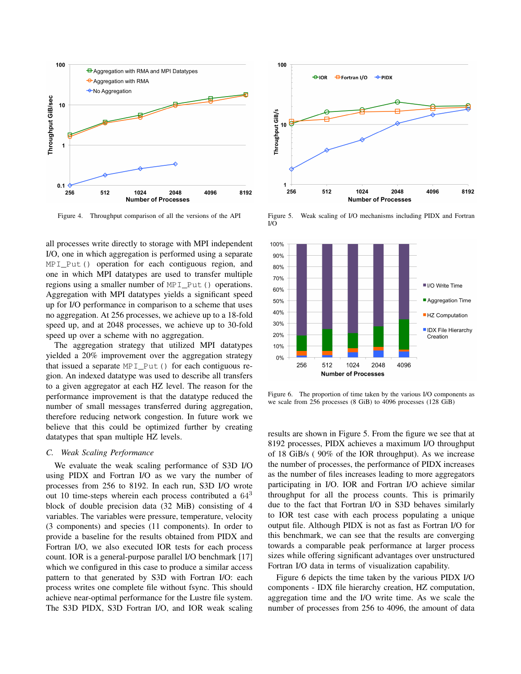

Figure 4. Throughput comparison of all the versions of the API

all processes write directly to storage with MPI independent I/O, one in which aggregation is performed using a separate MPI\_Put() operation for each contiguous region, and one in which MPI datatypes are used to transfer multiple regions using a smaller number of MPI\_Put() operations. Aggregation with MPI datatypes yields a significant speed up for I/O performance in comparison to a scheme that uses no aggregation. At 256 processes, we achieve up to a 18-fold speed up, and at 2048 processes, we achieve up to 30-fold speed up over a scheme with no aggregation.

The aggregation strategy that utilized MPI datatypes yielded a 20% improvement over the aggregation strategy that issued a separate MPI\_Put() for each contiguous region. An indexed datatype was used to describe all transfers to a given aggregator at each HZ level. The reason for the performance improvement is that the datatype reduced the number of small messages transferred during aggregation, therefore reducing network congestion. In future work we believe that this could be optimized further by creating datatypes that span multiple HZ levels.

## *C. Weak Scaling Performance*

We evaluate the weak scaling performance of S3D I/O using PIDX and Fortran I/O as we vary the number of processes from 256 to 8192. In each run, S3D I/O wrote out 10 time-steps wherein each process contributed a  $64<sup>3</sup>$ block of double precision data (32 MiB) consisting of 4 variables. The variables were pressure, temperature, velocity (3 components) and species (11 components). In order to provide a baseline for the results obtained from PIDX and Fortran I/O, we also executed IOR tests for each process count. IOR is a general-purpose parallel I/O benchmark [17] which we configured in this case to produce a similar access pattern to that generated by S3D with Fortran I/O: each process writes one complete file without fsync. This should achieve near-optimal performance for the Lustre file system. The S3D PIDX, S3D Fortran I/O, and IOR weak scaling



Figure 5. Weak scaling of I/O mechanisms including PIDX and Fortran I/O



Figure 6. The proportion of time taken by the various I/O components as we scale from 256 processes (8 GiB) to 4096 processes (128 GiB)

results are shown in Figure 5. From the figure we see that at 8192 processes, PIDX achieves a maximum I/O throughput of 18 GiB/s ( 90% of the IOR throughput). As we increase the number of processes, the performance of PIDX increases as the number of files increases leading to more aggregators participating in I/O. IOR and Fortran I/O achieve similar throughput for all the process counts. This is primarily due to the fact that Fortran I/O in S3D behaves similarly to IOR test case with each process populating a unique output file. Although PIDX is not as fast as Fortran I/O for this benchmark, we can see that the results are converging towards a comparable peak performance at larger process sizes while offering significant advantages over unstructured Fortran I/O data in terms of visualization capability.

Figure 6 depicts the time taken by the various PIDX I/O components - IDX file hierarchy creation, HZ computation, aggregation time and the I/O write time. As we scale the number of processes from 256 to 4096, the amount of data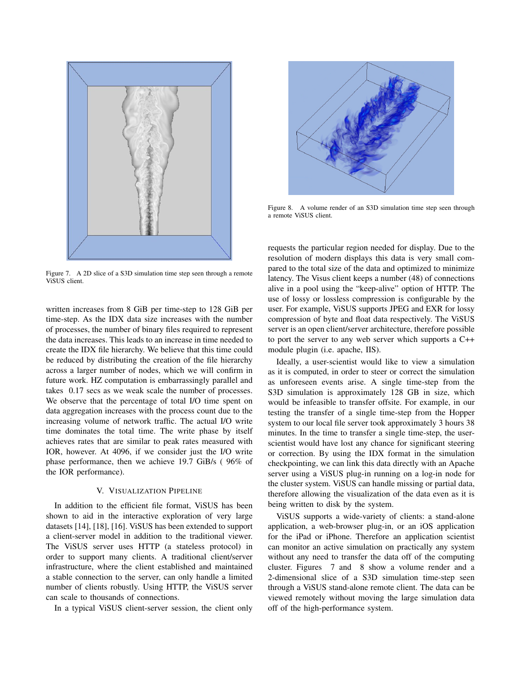

Figure 7. A 2D slice of a S3D simulation time step seen through a remote ViSUS client.

written increases from 8 GiB per time-step to 128 GiB per time-step. As the IDX data size increases with the number of processes, the number of binary files required to represent the data increases. This leads to an increase in time needed to create the IDX file hierarchy. We believe that this time could be reduced by distributing the creation of the file hierarchy across a larger number of nodes, which we will confirm in future work. HZ computation is embarrassingly parallel and takes 0.17 secs as we weak scale the number of processes. We observe that the percentage of total I/O time spent on data aggregation increases with the process count due to the increasing volume of network traffic. The actual I/O write time dominates the total time. The write phase by itself achieves rates that are similar to peak rates measured with IOR, however. At 4096, if we consider just the I/O write phase performance, then we achieve 19.7 GiB/s ( 96% of the IOR performance).

## V. VISUALIZATION PIPELINE

In addition to the efficient file format, ViSUS has been shown to aid in the interactive exploration of very large datasets [14], [18], [16]. ViSUS has been extended to support a client-server model in addition to the traditional viewer. The ViSUS server uses HTTP (a stateless protocol) in order to support many clients. A traditional client/server infrastructure, where the client established and maintained a stable connection to the server, can only handle a limited number of clients robustly. Using HTTP, the ViSUS server can scale to thousands of connections.

In a typical ViSUS client-server session, the client only



Figure 8. A volume render of an S3D simulation time step seen through a remote ViSUS client.

requests the particular region needed for display. Due to the resolution of modern displays this data is very small compared to the total size of the data and optimized to minimize latency. The Visus client keeps a number (48) of connections alive in a pool using the "keep-alive" option of HTTP. The use of lossy or lossless compression is configurable by the user. For example, ViSUS supports JPEG and EXR for lossy compression of byte and float data respectively. The ViSUS server is an open client/server architecture, therefore possible to port the server to any web server which supports a C++ module plugin (i.e. apache, IIS).

Ideally, a user-scientist would like to view a simulation as it is computed, in order to steer or correct the simulation as unforeseen events arise. A single time-step from the S3D simulation is approximately 128 GB in size, which would be infeasible to transfer offsite. For example, in our testing the transfer of a single time-step from the Hopper system to our local file server took approximately 3 hours 38 minutes. In the time to transfer a single time-step, the userscientist would have lost any chance for significant steering or correction. By using the IDX format in the simulation checkpointing, we can link this data directly with an Apache server using a ViSUS plug-in running on a log-in node for the cluster system. ViSUS can handle missing or partial data, therefore allowing the visualization of the data even as it is being written to disk by the system.

ViSUS supports a wide-variety of clients: a stand-alone application, a web-browser plug-in, or an iOS application for the iPad or iPhone. Therefore an application scientist can monitor an active simulation on practically any system without any need to transfer the data off of the computing cluster. Figures 7 and 8 show a volume render and a 2-dimensional slice of a S3D simulation time-step seen through a ViSUS stand-alone remote client. The data can be viewed remotely without moving the large simulation data off of the high-performance system.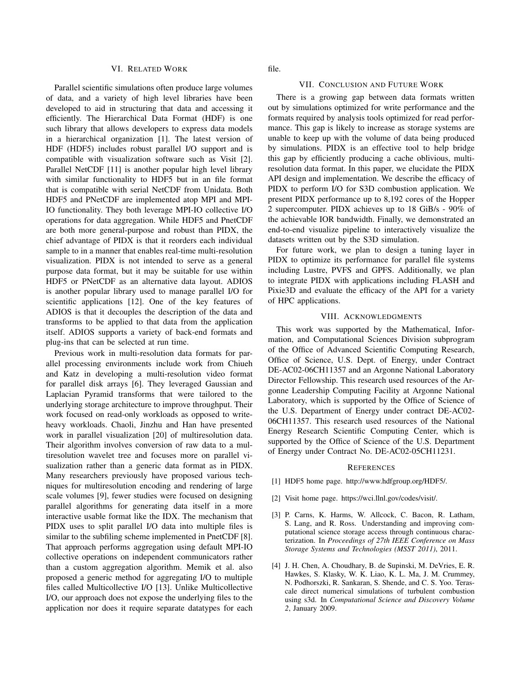## VI. RELATED WORK

Parallel scientific simulations often produce large volumes of data, and a variety of high level libraries have been developed to aid in structuring that data and accessing it efficiently. The Hierarchical Data Format (HDF) is one such library that allows developers to express data models in a hierarchical organization [1]. The latest version of HDF (HDF5) includes robust parallel I/O support and is compatible with visualization software such as Visit [2]. Parallel NetCDF [11] is another popular high level library with similar functionality to HDF5 but in an file format that is compatible with serial NetCDF from Unidata. Both HDF5 and PNetCDF are implemented atop MPI and MPI-IO functionality. They both leverage MPI-IO collective I/O operations for data aggregation. While HDF5 and PnetCDF are both more general-purpose and robust than PIDX, the chief advantage of PIDX is that it reorders each individual sample to in a manner that enables real-time multi-resolution visualization. PIDX is not intended to serve as a general purpose data format, but it may be suitable for use within HDF5 or PNetCDF as an alternative data layout. ADIOS is another popular library used to manage parallel I/O for scientific applications [12]. One of the key features of ADIOS is that it decouples the description of the data and transforms to be applied to that data from the application itself. ADIOS supports a variety of back-end formats and plug-ins that can be selected at run time.

Previous work in multi-resolution data formats for parallel processing environments include work from Chiueh and Katz in developing a multi-resolution video format for parallel disk arrays [6]. They leveraged Gaussian and Laplacian Pyramid transforms that were tailored to the underlying storage architecture to improve throughput. Their work focused on read-only workloads as opposed to writeheavy workloads. Chaoli, Jinzhu and Han have presented work in parallel visualization [20] of multiresolution data. Their algorithm involves conversion of raw data to a multiresolution wavelet tree and focuses more on parallel visualization rather than a generic data format as in PIDX. Many researchers previously have proposed various techniques for multiresolution encoding and rendering of large scale volumes [9], fewer studies were focused on designing parallel algorithms for generating data itself in a more interactive usable format like the IDX. The mechanism that PIDX uses to split parallel I/O data into multiple files is similar to the subfiling scheme implemented in PnetCDF [8]. That approach performs aggregation using default MPI-IO collective operations on independent communicators rather than a custom aggregation algorithm. Memik et al. also proposed a generic method for aggregating I/O to multiple files called Multicollective I/O [13]. Unlike Multicollective I/O, our approach does not expose the underlying files to the application nor does it require separate datatypes for each file.

## VII. CONCLUSION AND FUTURE WORK

There is a growing gap between data formats written out by simulations optimized for write performance and the formats required by analysis tools optimized for read performance. This gap is likely to increase as storage systems are unable to keep up with the volume of data being produced by simulations. PIDX is an effective tool to help bridge this gap by efficiently producing a cache oblivious, multiresolution data format. In this paper, we elucidate the PIDX API design and implementation. We describe the efficacy of PIDX to perform I/O for S3D combustion application. We present PIDX performance up to 8,192 cores of the Hopper 2 supercomputer. PIDX achieves up to 18 GiB/s - 90% of the achievable IOR bandwidth. Finally, we demonstrated an end-to-end visualize pipeline to interactively visualize the datasets written out by the S3D simulation.

For future work, we plan to design a tuning layer in PIDX to optimize its performance for parallel file systems including Lustre, PVFS and GPFS. Additionally, we plan to integrate PIDX with applications including FLASH and Pixie3D and evaluate the efficacy of the API for a variety of HPC applications.

#### VIII. ACKNOWLEDGMENTS

This work was supported by the Mathematical, Information, and Computational Sciences Division subprogram of the Office of Advanced Scientific Computing Research, Office of Science, U.S. Dept. of Energy, under Contract DE-AC02-06CH11357 and an Argonne National Laboratory Director Fellowship. This research used resources of the Argonne Leadership Computing Facility at Argonne National Laboratory, which is supported by the Office of Science of the U.S. Department of Energy under contract DE-AC02- 06CH11357. This research used resources of the National Energy Research Scientific Computing Center, which is supported by the Office of Science of the U.S. Department of Energy under Contract No. DE-AC02-05CH11231.

## **REFERENCES**

- [1] HDF5 home page. http://www.hdfgroup.org/HDF5/.
- [2] Visit home page. https://wci.llnl.gov/codes/visit/.
- [3] P. Carns, K. Harms, W. Allcock, C. Bacon, R. Latham, S. Lang, and R. Ross. Understanding and improving computational science storage access through continuous characterization. In *Proceedings of 27th IEEE Conference on Mass Storage Systems and Technologies (MSST 2011)*, 2011.
- [4] J. H. Chen, A. Choudhary, B. de Supinski, M. DeVries, E. R. Hawkes, S. Klasky, W. K. Liao, K. L. Ma, J. M. Crummey, N. Podhorszki, R. Sankaran, S. Shende, and C. S. Yoo. Terascale direct numerical simulations of turbulent combustion using s3d. In *Computational Science and Discovery Volume 2*, January 2009.